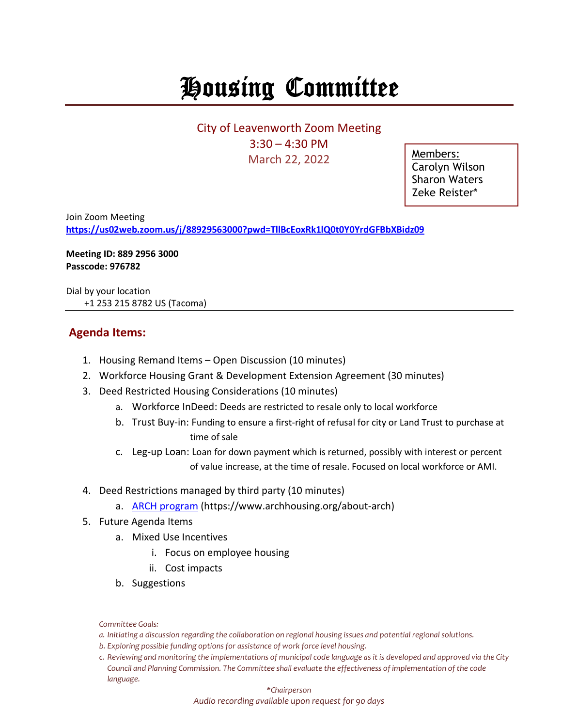## Housing Committee

City of Leavenworth Zoom Meeting 3:30 – 4:30 PM March 22, 2022

Members: Carolyn Wilson Sharon Waters Zeke Reister\*

Join Zoom Meeting **<https://us02web.zoom.us/j/88929563000?pwd=TllBcEoxRk1lQ0t0Y0YrdGFBbXBidz09>**

**Meeting ID: 889 2956 3000 Passcode: 976782**

Dial by your location +1 253 215 8782 US (Tacoma)

## **Agenda Items:**

- 1. Housing Remand Items Open Discussion (10 minutes)
- 2. Workforce Housing Grant & Development Extension Agreement (30 minutes)
- 3. Deed Restricted Housing Considerations (10 minutes)
	- a. Workforce InDeed: Deeds are restricted to resale only to local workforce
	- b. Trust Buy-in: Funding to ensure a first-right of refusal for city or Land Trust to purchase at time of sale
	- c. Leg-up Loan: Loan for down payment which is returned, possibly with interest or percent of value increase, at the time of resale. Focused on local workforce or AMI.
- 4. Deed Restrictions managed by third party (10 minutes)
	- a. [ARCH program](https://www.archhousing.org/about-arch) (https://www.archhousing.org/about-arch)
- 5. Future Agenda Items
	- a. Mixed Use Incentives
		- i. Focus on employee housing
		- ii. Cost impacts
	- b. Suggestions

*Committee Goals:*

- *a. Initiating a discussion regarding the collaboration on regional housing issues and potential regional solutions.*
- *b. Exploring possible funding options for assistance of work force level housing.*
- *c. Reviewing and monitoring the implementations of municipal code language as it is developed and approved via the City Council and Planning Commission. The Committee shall evaluate the effectiveness of implementation of the code language.*